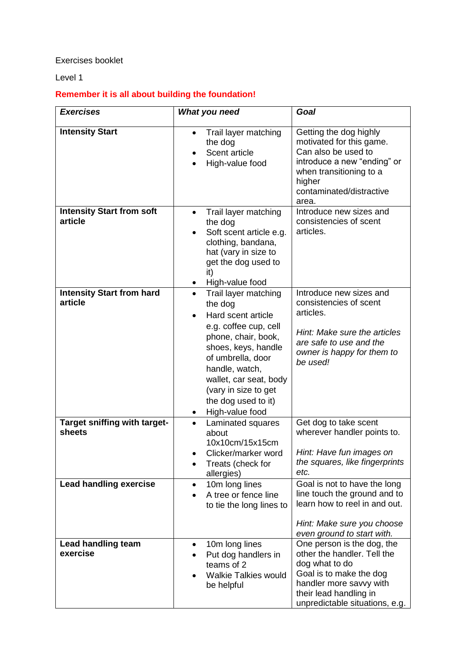## Exercises booklet

## Level 1

## **Remember it is all about building the foundation!**

| <b>Exercises</b>                            | What you need                                                                                                                                                                                                                                                                | Goal                                                                                                                                                                                          |
|---------------------------------------------|------------------------------------------------------------------------------------------------------------------------------------------------------------------------------------------------------------------------------------------------------------------------------|-----------------------------------------------------------------------------------------------------------------------------------------------------------------------------------------------|
| <b>Intensity Start</b>                      | Trail layer matching<br>$\bullet$<br>the dog<br>Scent article<br>High-value food                                                                                                                                                                                             | Getting the dog highly<br>motivated for this game.<br>Can also be used to<br>introduce a new "ending" or<br>when transitioning to a<br>higher<br>contaminated/distractive<br>area.            |
| <b>Intensity Start from soft</b><br>article | Trail layer matching<br>$\bullet$<br>the dog<br>Soft scent article e.g.<br>clothing, bandana,<br>hat (vary in size to<br>get the dog used to<br>it)<br>High-value food                                                                                                       | Introduce new sizes and<br>consistencies of scent<br>articles.                                                                                                                                |
| <b>Intensity Start from hard</b><br>article | Trail layer matching<br>$\bullet$<br>the dog<br>Hard scent article<br>e.g. coffee cup, cell<br>phone, chair, book,<br>shoes, keys, handle<br>of umbrella, door<br>handle, watch,<br>wallet, car seat, body<br>(vary in size to get<br>the dog used to it)<br>High-value food | Introduce new sizes and<br>consistencies of scent<br>articles.<br>Hint: Make sure the articles<br>are safe to use and the<br>owner is happy for them to<br>be used!                           |
| Target sniffing with target-<br>sheets      | Laminated squares<br>$\bullet$<br>about<br>10x10cm/15x15cm<br>Clicker/marker word<br>Treats (check for<br>allergies)                                                                                                                                                         | Get dog to take scent<br>wherever handler points to.<br>Hint: Have fun images on<br>the squares, like fingerprints<br>etc.                                                                    |
| <b>Lead handling exercise</b>               | 10m long lines<br>$\bullet$<br>A tree or fence line<br>to tie the long lines to                                                                                                                                                                                              | Goal is not to have the long<br>line touch the ground and to<br>learn how to reel in and out.<br>Hint: Make sure you choose<br>even ground to start with.                                     |
| <b>Lead handling team</b><br>exercise       | 10m long lines<br>٠<br>Put dog handlers in<br>teams of 2<br><b>Walkie Talkies would</b><br>be helpful                                                                                                                                                                        | One person is the dog, the<br>other the handler. Tell the<br>dog what to do<br>Goal is to make the dog<br>handler more savvy with<br>their lead handling in<br>unpredictable situations, e.g. |